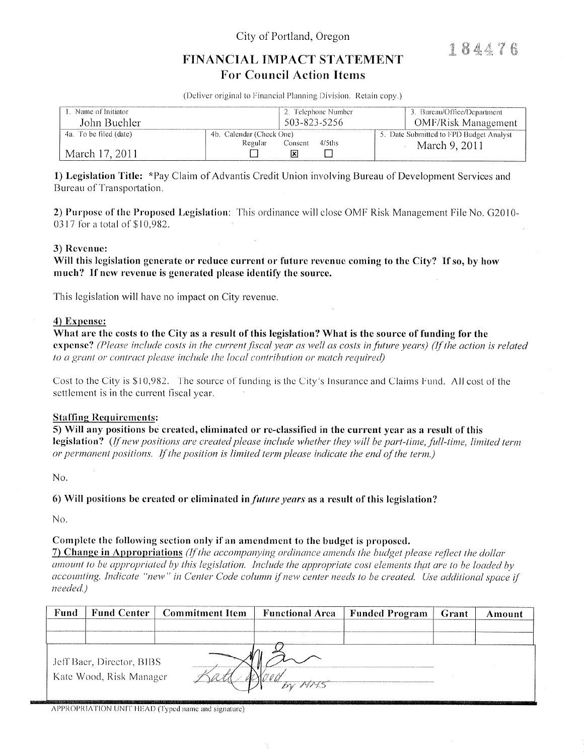City of Portland, Oregon

184476

# FINANCIAL IMPACT STATEMENT **For Council Action Items**

(Deliver original to Financial Planning Division. Retain copy.)

| Name of Initiator<br>John Buehler | 2. Telephone Number<br>503-823-5256                      | 3. Bureau/Office/Department<br><b>OMF/Risk Management</b> |  |
|-----------------------------------|----------------------------------------------------------|-----------------------------------------------------------|--|
| 4a. To be filed (date)            | 4b. Calendar (Check One)<br>4/5ths<br>Regular<br>Consent | 5. Date Submitted to FPD Budget Analyst                   |  |
| March 17, 2011                    | ΙxΙ                                                      | March 9, 2011                                             |  |

1) Legislation Title: \*Pay Claim of Advantis Credit Union involving Bureau of Development Services and Bureau of Transportation.

2) Purpose of the Proposed Legislation: This ordinance will close OMF Risk Management File No. G2010-0317 for a total of \$10,982.

### 3) Revenue:

Will this legislation generate or reduce current or future revenue coming to the City? If so, by how much? If new revenue is generated please identify the source.

This legislation will have no impact on City revenue.

### 4) Expense:

What are the costs to the City as a result of this legislation? What is the source of funding for the expense? (Please include costs in the current fiscal year as well as costs in future years) (If the action is related to a grant or contract please include the local contribution or match required)

Cost to the City is \$10,982. The source of funding is the City's Insurance and Claims Fund. All cost of the settlement is in the current fiscal year.

### **Staffing Requirements:**

5) Will any positions be created, eliminated or re-classified in the current year as a result of this legislation? (If new positions are created please include whether they will be part-time, full-time, limited term or permanent positions. If the position is limited term please indicate the end of the term.)

No.

6) Will positions be created or eliminated in *future years* as a result of this legislation?

No.

## Complete the following section only if an amendment to the budget is proposed.

7) Change in Appropriations (If the accompanying ordinance amends the budget please reflect the dollar amount to be appropriated by this legislation. Include the appropriate cost elements that are to be loaded by accounting. Indicate "new" in Center Code column if new center needs to be created. Use additional space if needed.)

| Fund                                                 |  | <b>Fund Center   Commitment Item</b> | <b>Functional Area</b> | Funded Program | Grant | Amount |
|------------------------------------------------------|--|--------------------------------------|------------------------|----------------|-------|--------|
|                                                      |  |                                      |                        |                |       |        |
|                                                      |  |                                      |                        |                |       |        |
| Jeff Baer, Director, BIBS<br>Kate Wood, Risk Manager |  |                                      |                        |                |       |        |
|                                                      |  |                                      | ちぃ ババイ                 |                |       |        |

APPROPRIATION UNIT HEAD (Typed name and signature)